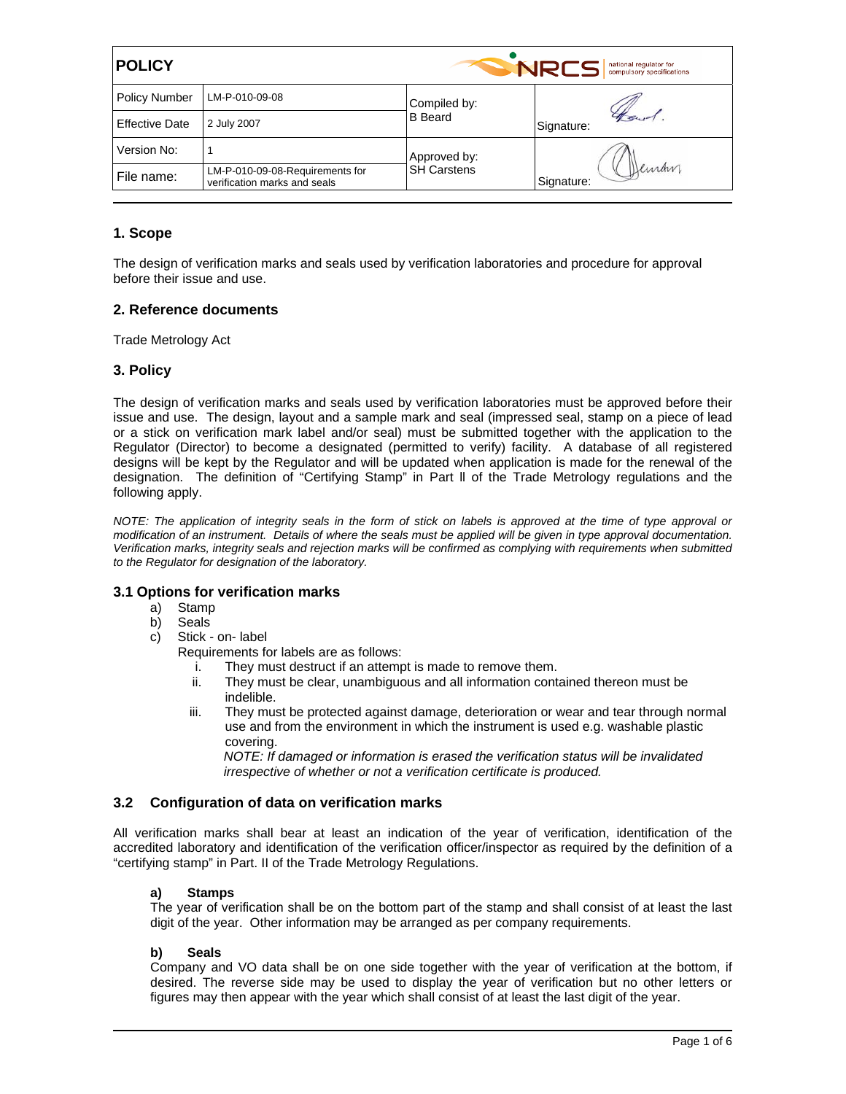| <b>POLICY</b>         |                                                                 |                                    | <b>NRCS</b><br>national regulator for<br>compulsory specifications |  |
|-----------------------|-----------------------------------------------------------------|------------------------------------|--------------------------------------------------------------------|--|
| <b>Policy Number</b>  | LM-P-010-09-08                                                  | Compiled by:                       |                                                                    |  |
| <b>Effective Date</b> | 2 July 2007                                                     | <b>B</b> Beard                     | Signature:                                                         |  |
| Version No:           |                                                                 | Approved by:<br><b>SH Carstens</b> | Deman<br>Signature:                                                |  |
| File name:            | LM-P-010-09-08-Requirements for<br>verification marks and seals |                                    |                                                                    |  |

# **1. Scope**

The design of verification marks and seals used by verification laboratories and procedure for approval before their issue and use.

# **2. Reference documents**

Trade Metrology Act

# **3. Policy**

The design of verification marks and seals used by verification laboratories must be approved before their issue and use. The design, layout and a sample mark and seal (impressed seal, stamp on a piece of lead or a stick on verification mark label and/or seal) must be submitted together with the application to the Regulator (Director) to become a designated (permitted to verify) facility. A database of all registered designs will be kept by the Regulator and will be updated when application is made for the renewal of the designation. The definition of "Certifying Stamp" in Part ll of the Trade Metrology regulations and the following apply.

*NOTE: The application of integrity seals in the form of stick on labels is approved at the time of type approval or modification of an instrument. Details of where the seals must be applied will be given in type approval documentation. Verification marks, integrity seals and rejection marks will be confirmed as complying with requirements when submitted to the Regulator for designation of the laboratory.* 

## **3.1 Options for verification marks**

- a) Stamp
- b) Seals
- c) Stick on- label

Requirements for labels are as follows:

- i. They must destruct if an attempt is made to remove them.
- ii. They must be clear, unambiguous and all information contained thereon must be indelible.
- iii. They must be protected against damage, deterioration or wear and tear through normal use and from the environment in which the instrument is used e.g. washable plastic covering.

*NOTE: If damaged or information is erased the verification status will be invalidated irrespective of whether or not a verification certificate is produced.* 

# **3.2 Configuration of data on verification marks**

All verification marks shall bear at least an indication of the year of verification, identification of the accredited laboratory and identification of the verification officer/inspector as required by the definition of a "certifying stamp" in Part. II of the Trade Metrology Regulations.

## **a) Stamps**

The year of verification shall be on the bottom part of the stamp and shall consist of at least the last digit of the year. Other information may be arranged as per company requirements.

## **b) Seals**

Company and VO data shall be on one side together with the year of verification at the bottom, if desired. The reverse side may be used to display the year of verification but no other letters or figures may then appear with the year which shall consist of at least the last digit of the year.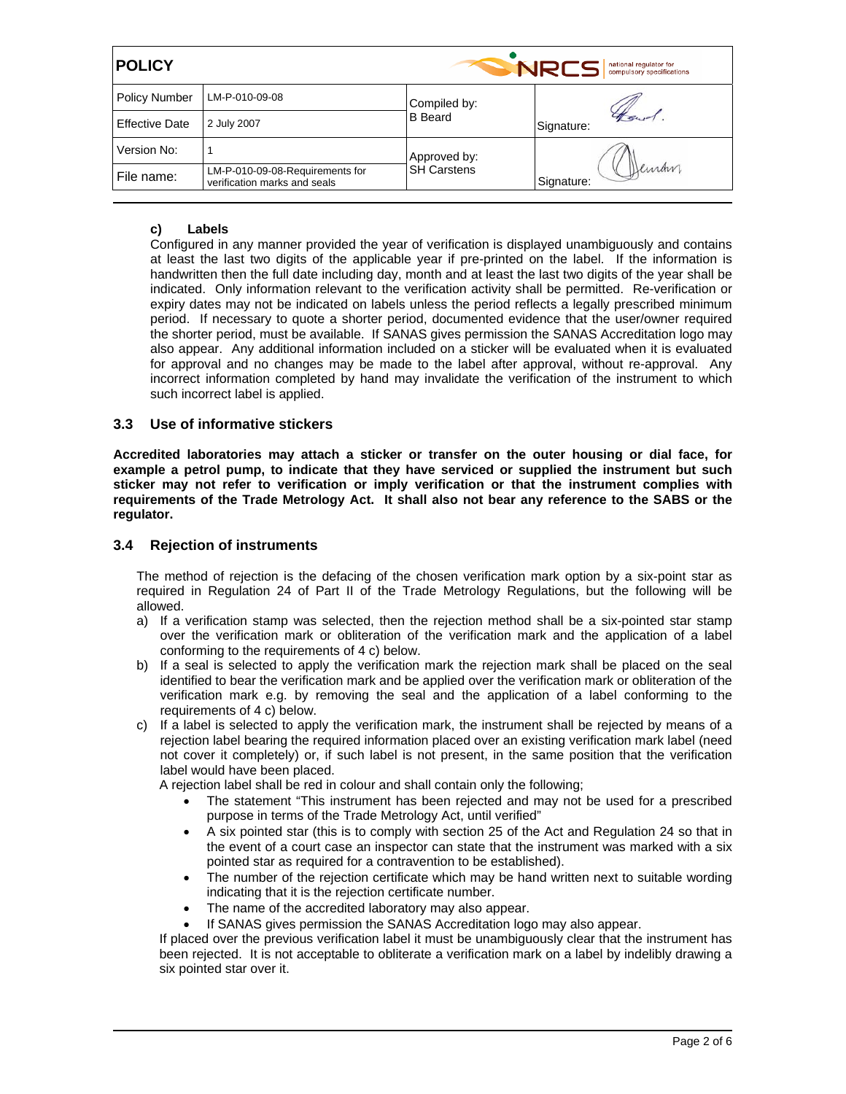| <b>POLICY</b>         |                                                                 |                                    | <b>NRC</b><br>national regulator for<br>compulsory specifications |  |
|-----------------------|-----------------------------------------------------------------|------------------------------------|-------------------------------------------------------------------|--|
| <b>Policy Number</b>  | LM-P-010-09-08                                                  | Compiled by:                       |                                                                   |  |
| <b>Effective Date</b> | 2 July 2007                                                     | <b>B</b> Beard                     | Signature:                                                        |  |
| Version No:           |                                                                 | Approved by:<br><b>SH Carstens</b> |                                                                   |  |
| File name:            | LM-P-010-09-08-Requirements for<br>verification marks and seals |                                    | Luran<br>Signature:                                               |  |

# **c) Labels**

Configured in any manner provided the year of verification is displayed unambiguously and contains at least the last two digits of the applicable year if pre-printed on the label. If the information is handwritten then the full date including day, month and at least the last two digits of the year shall be indicated. Only information relevant to the verification activity shall be permitted. Re-verification or expiry dates may not be indicated on labels unless the period reflects a legally prescribed minimum period. If necessary to quote a shorter period, documented evidence that the user/owner required the shorter period, must be available. If SANAS gives permission the SANAS Accreditation logo may also appear. Any additional information included on a sticker will be evaluated when it is evaluated for approval and no changes may be made to the label after approval, without re-approval. Any incorrect information completed by hand may invalidate the verification of the instrument to which such incorrect label is applied.

## **3.3 Use of informative stickers**

**Accredited laboratories may attach a sticker or transfer on the outer housing or dial face, for example a petrol pump, to indicate that they have serviced or supplied the instrument but such sticker may not refer to verification or imply verification or that the instrument complies with requirements of the Trade Metrology Act. It shall also not bear any reference to the SABS or the regulator.** 

## **3.4 Rejection of instruments**

The method of rejection is the defacing of the chosen verification mark option by a six-point star as required in Regulation 24 of Part II of the Trade Metrology Regulations, but the following will be allowed.

- a) If a verification stamp was selected, then the rejection method shall be a six-pointed star stamp over the verification mark or obliteration of the verification mark and the application of a label conforming to the requirements of 4 c) below.
- b) If a seal is selected to apply the verification mark the rejection mark shall be placed on the seal identified to bear the verification mark and be applied over the verification mark or obliteration of the verification mark e.g. by removing the seal and the application of a label conforming to the requirements of 4 c) below.
- c) If a label is selected to apply the verification mark, the instrument shall be rejected by means of a rejection label bearing the required information placed over an existing verification mark label (need not cover it completely) or, if such label is not present, in the same position that the verification label would have been placed.

A rejection label shall be red in colour and shall contain only the following;

- The statement "This instrument has been rejected and may not be used for a prescribed purpose in terms of the Trade Metrology Act, until verified"
- A six pointed star (this is to comply with section 25 of the Act and Regulation 24 so that in the event of a court case an inspector can state that the instrument was marked with a six pointed star as required for a contravention to be established).
- The number of the rejection certificate which may be hand written next to suitable wording indicating that it is the rejection certificate number.
- The name of the accredited laboratory may also appear.
- If SANAS gives permission the SANAS Accreditation logo may also appear.

If placed over the previous verification label it must be unambiguously clear that the instrument has been rejected. It is not acceptable to obliterate a verification mark on a label by indelibly drawing a six pointed star over it.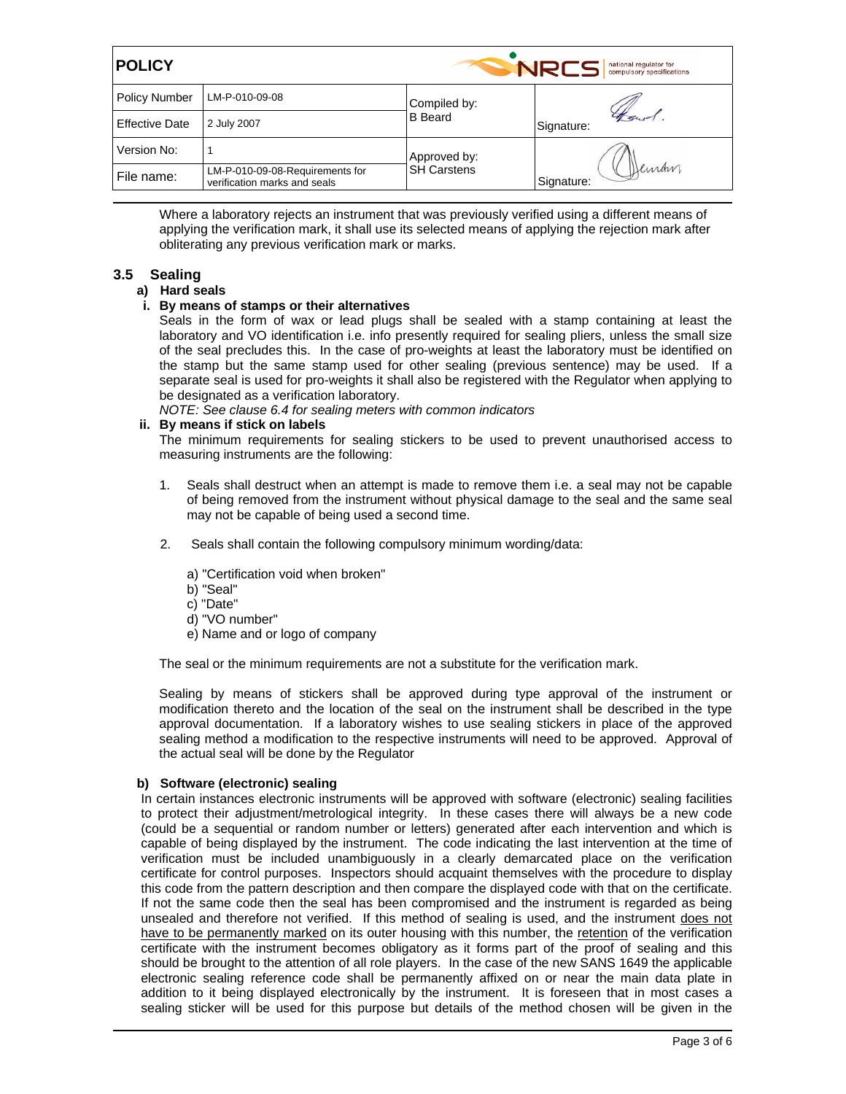| <b>POLICY</b>         |                                                                 |                                    | <b>NRCS</b><br>national regulator for<br>compulsory specifications |  |  |
|-----------------------|-----------------------------------------------------------------|------------------------------------|--------------------------------------------------------------------|--|--|
| <b>Policy Number</b>  | LM-P-010-09-08                                                  | Compiled by:                       |                                                                    |  |  |
| <b>Effective Date</b> | 2 July 2007                                                     | <b>B</b> Beard                     | Signature:                                                         |  |  |
| Version No:           |                                                                 | Approved by:<br><b>SH Carstens</b> | luran<br>Signature:                                                |  |  |
| File name:            | LM-P-010-09-08-Requirements for<br>verification marks and seals |                                    |                                                                    |  |  |

Where a laboratory rejects an instrument that was previously verified using a different means of applying the verification mark, it shall use its selected means of applying the rejection mark after obliterating any previous verification mark or marks.

# **3.5 Sealing**

## **a) Hard seals**

# **i. By means of stamps or their alternatives**

Seals in the form of wax or lead plugs shall be sealed with a stamp containing at least the laboratory and VO identification i.e. info presently required for sealing pliers, unless the small size of the seal precludes this. In the case of pro-weights at least the laboratory must be identified on the stamp but the same stamp used for other sealing (previous sentence) may be used. If a separate seal is used for pro-weights it shall also be registered with the Regulator when applying to be designated as a verification laboratory.

*NOTE: See clause 6.4 for sealing meters with common indicators*

## **ii. By means if stick on labels**

The minimum requirements for sealing stickers to be used to prevent unauthorised access to measuring instruments are the following:

- 1. Seals shall destruct when an attempt is made to remove them i.e. a seal may not be capable of being removed from the instrument without physical damage to the seal and the same seal may not be capable of being used a second time.
- 2. Seals shall contain the following compulsory minimum wording/data:
	- a) "Certification void when broken"
	- b) "Seal"
	- c) "Date"
	- d) "VO number"
	- e) Name and or logo of company

The seal or the minimum requirements are not a substitute for the verification mark.

Sealing by means of stickers shall be approved during type approval of the instrument or modification thereto and the location of the seal on the instrument shall be described in the type approval documentation. If a laboratory wishes to use sealing stickers in place of the approved sealing method a modification to the respective instruments will need to be approved. Approval of the actual seal will be done by the Regulator

### **b) Software (electronic) sealing**

In certain instances electronic instruments will be approved with software (electronic) sealing facilities to protect their adjustment/metrological integrity. In these cases there will always be a new code (could be a sequential or random number or letters) generated after each intervention and which is capable of being displayed by the instrument. The code indicating the last intervention at the time of verification must be included unambiguously in a clearly demarcated place on the verification certificate for control purposes. Inspectors should acquaint themselves with the procedure to display this code from the pattern description and then compare the displayed code with that on the certificate. If not the same code then the seal has been compromised and the instrument is regarded as being unsealed and therefore not verified. If this method of sealing is used, and the instrument does not have to be permanently marked on its outer housing with this number, the retention of the verification certificate with the instrument becomes obligatory as it forms part of the proof of sealing and this should be brought to the attention of all role players. In the case of the new SANS 1649 the applicable electronic sealing reference code shall be permanently affixed on or near the main data plate in addition to it being displayed electronically by the instrument. It is foreseen that in most cases a sealing sticker will be used for this purpose but details of the method chosen will be given in the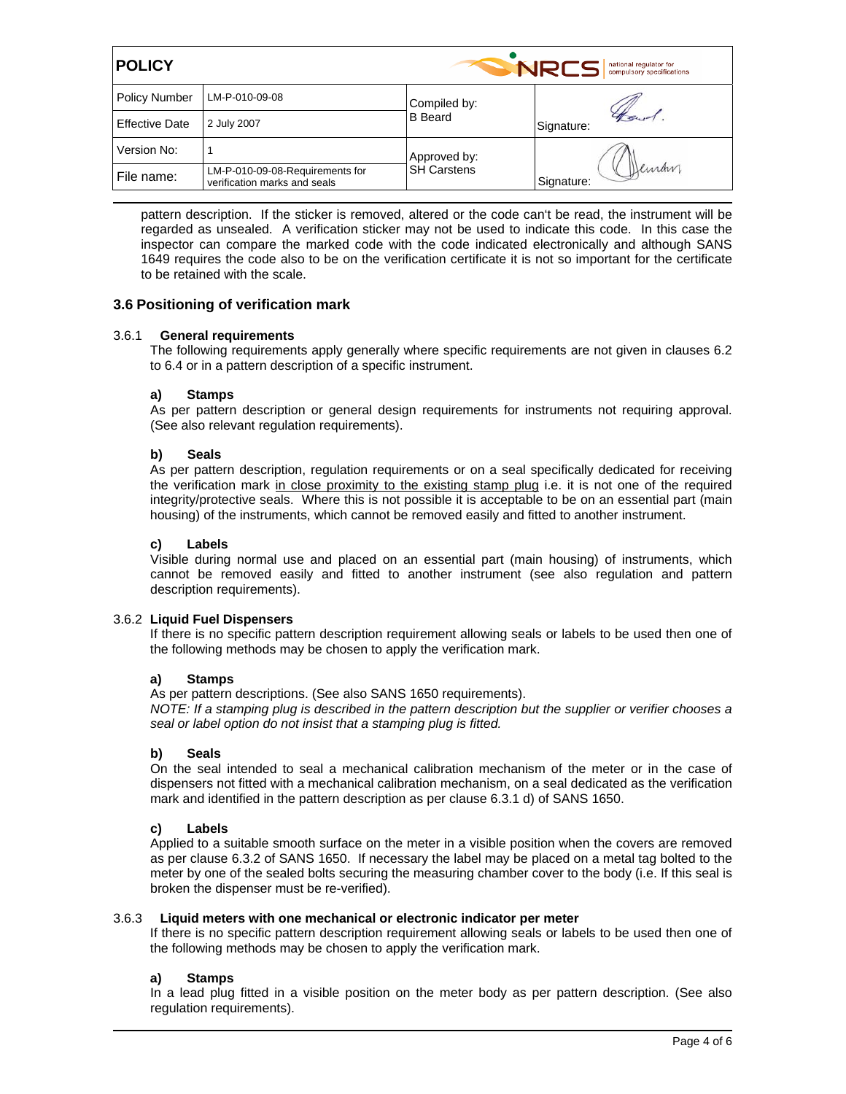| <b>POLICY</b>         |                                                                 |                    | <b>NRCS</b><br>national regulator for<br>compulsory specifications |
|-----------------------|-----------------------------------------------------------------|--------------------|--------------------------------------------------------------------|
| <b>Policy Number</b>  | LM-P-010-09-08                                                  | Compiled by:       |                                                                    |
| <b>Effective Date</b> | 2 July 2007                                                     | <b>B</b> Beard     | Signature:                                                         |
| Version No:           |                                                                 | Approved by:       |                                                                    |
| File name:            | LM-P-010-09-08-Requirements for<br>verification marks and seals | <b>SH Carstens</b> | Deman<br>Signature:                                                |

pattern description. If the sticker is removed, altered or the code can't be read, the instrument will be regarded as unsealed. A verification sticker may not be used to indicate this code. In this case the inspector can compare the marked code with the code indicated electronically and although SANS 1649 requires the code also to be on the verification certificate it is not so important for the certificate to be retained with the scale.

# **3.6 Positioning of verification mark**

## 3.6.1 **General requirements**

The following requirements apply generally where specific requirements are not given in clauses 6.2 to 6.4 or in a pattern description of a specific instrument.

## **a) Stamps**

As per pattern description or general design requirements for instruments not requiring approval. (See also relevant regulation requirements).

## **b) Seals**

As per pattern description, regulation requirements or on a seal specifically dedicated for receiving the verification mark in close proximity to the existing stamp plug i.e. it is not one of the required integrity/protective seals. Where this is not possible it is acceptable to be on an essential part (main housing) of the instruments, which cannot be removed easily and fitted to another instrument.

### **c) Labels**

Visible during normal use and placed on an essential part (main housing) of instruments, which cannot be removed easily and fitted to another instrument (see also regulation and pattern description requirements).

### 3.6.2 **Liquid Fuel Dispensers**

If there is no specific pattern description requirement allowing seals or labels to be used then one of the following methods may be chosen to apply the verification mark.

### **a) Stamps**

As per pattern descriptions. (See also SANS 1650 requirements).

*NOTE: If a stamping plug is described in the pattern description but the supplier or verifier chooses a seal or label option do not insist that a stamping plug is fitted.*

### **b) Seals**

On the seal intended to seal a mechanical calibration mechanism of the meter or in the case of dispensers not fitted with a mechanical calibration mechanism, on a seal dedicated as the verification mark and identified in the pattern description as per clause 6.3.1 d) of SANS 1650.

### **c) Labels**

Applied to a suitable smooth surface on the meter in a visible position when the covers are removed as per clause 6.3.2 of SANS 1650. If necessary the label may be placed on a metal tag bolted to the meter by one of the sealed bolts securing the measuring chamber cover to the body (i.e. If this seal is broken the dispenser must be re-verified).

### 3.6.3 **Liquid meters with one mechanical or electronic indicator per meter**

If there is no specific pattern description requirement allowing seals or labels to be used then one of the following methods may be chosen to apply the verification mark.

### **a) Stamps**

In a lead plug fitted in a visible position on the meter body as per pattern description. (See also regulation requirements).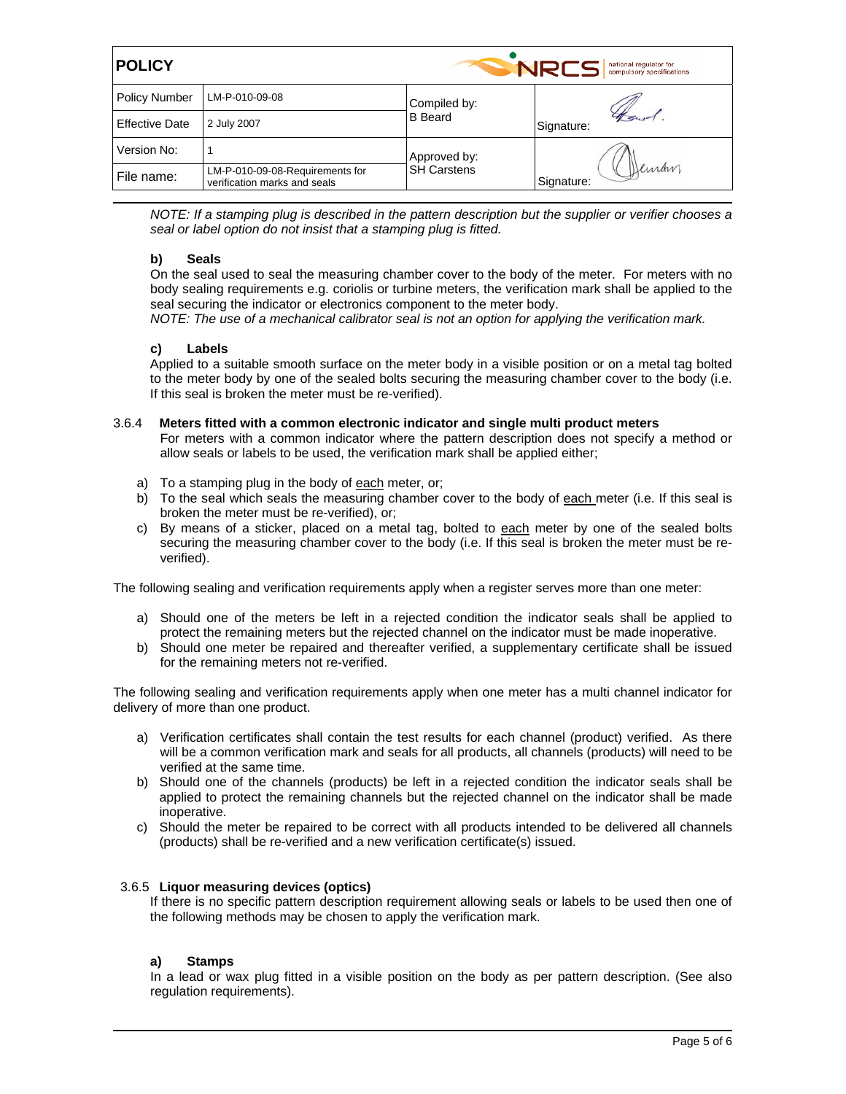| <b>POLICY</b>         |                                                                 |                                    | <b>NRCS</b><br>national regulator for<br>compulsory specifications |  |  |
|-----------------------|-----------------------------------------------------------------|------------------------------------|--------------------------------------------------------------------|--|--|
| <b>Policy Number</b>  | LM-P-010-09-08                                                  | Compiled by:<br><b>B</b> Beard     | Signature:                                                         |  |  |
| <b>Effective Date</b> | 2 July 2007                                                     |                                    |                                                                    |  |  |
| Version No:           |                                                                 | Approved by:<br><b>SH Carstens</b> | Deman<br>Signature:                                                |  |  |
| File name:            | LM-P-010-09-08-Requirements for<br>verification marks and seals |                                    |                                                                    |  |  |

*NOTE: If a stamping plug is described in the pattern description but the supplier or verifier chooses a seal or label option do not insist that a stamping plug is fitted.* 

## **b) Seals**

On the seal used to seal the measuring chamber cover to the body of the meter. For meters with no body sealing requirements e.g. coriolis or turbine meters, the verification mark shall be applied to the seal securing the indicator or electronics component to the meter body.

*NOTE: The use of a mechanical calibrator seal is not an option for applying the verification mark.* 

## **c) Labels**

Applied to a suitable smooth surface on the meter body in a visible position or on a metal tag bolted to the meter body by one of the sealed bolts securing the measuring chamber cover to the body (i.e. If this seal is broken the meter must be re-verified).

### 3.6.4 **Meters fitted with a common electronic indicator and single multi product meters**

For meters with a common indicator where the pattern description does not specify a method or allow seals or labels to be used, the verification mark shall be applied either;

- a) To a stamping plug in the body of each meter, or;
- b) To the seal which seals the measuring chamber cover to the body of each meter (i.e. If this seal is broken the meter must be re-verified), or;
- c) By means of a sticker, placed on a metal tag, bolted to each meter by one of the sealed bolts securing the measuring chamber cover to the body (i.e. If this seal is broken the meter must be reverified).

The following sealing and verification requirements apply when a register serves more than one meter:

- a) Should one of the meters be left in a rejected condition the indicator seals shall be applied to protect the remaining meters but the rejected channel on the indicator must be made inoperative.
- b) Should one meter be repaired and thereafter verified, a supplementary certificate shall be issued for the remaining meters not re-verified.

The following sealing and verification requirements apply when one meter has a multi channel indicator for delivery of more than one product.

- a) Verification certificates shall contain the test results for each channel (product) verified. As there will be a common verification mark and seals for all products, all channels (products) will need to be verified at the same time.
- b) Should one of the channels (products) be left in a rejected condition the indicator seals shall be applied to protect the remaining channels but the rejected channel on the indicator shall be made inoperative.
- c) Should the meter be repaired to be correct with all products intended to be delivered all channels (products) shall be re-verified and a new verification certificate(s) issued.

### 3.6.5 **Liquor measuring devices (optics)**

If there is no specific pattern description requirement allowing seals or labels to be used then one of the following methods may be chosen to apply the verification mark.

### **a) Stamps**

In a lead or wax plug fitted in a visible position on the body as per pattern description. (See also regulation requirements).